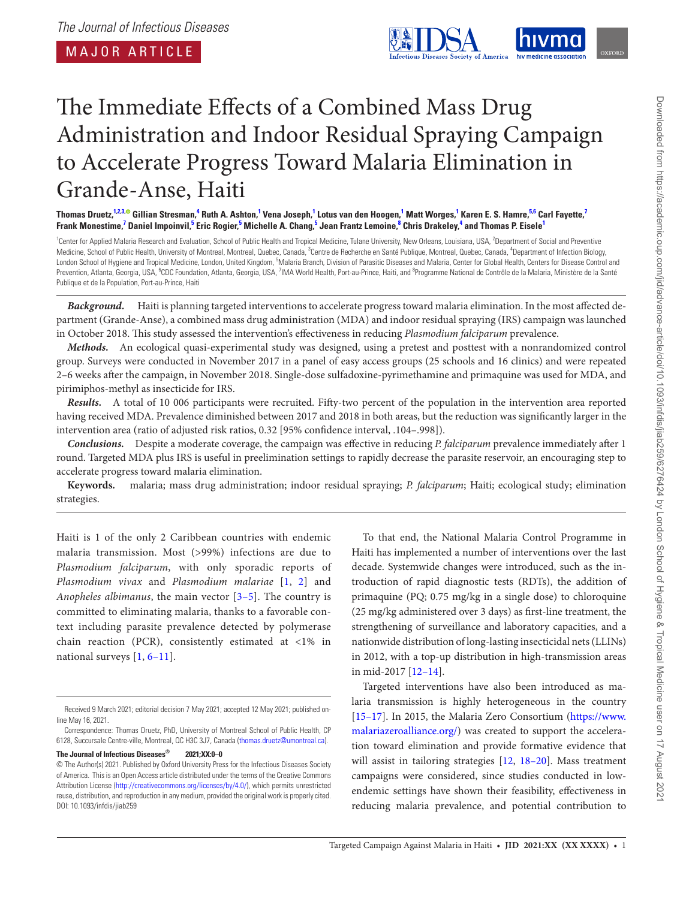<span id="page-0-7"></span><span id="page-0-3"></span>

# The Immediate Effects of a Combined Mass Drug Administration and Indoor Residual Spraying Campaign to Accelerate Progress Toward Malaria Elimination in Grande-Anse, Haiti

Thomas Druetz,<sup>[1](#page-0-0)[,2,](#page-0-1)[3](#page-0-2),®</sup> Gillian Stresman,<sup>[4](#page-0-3)</sup> Ruth A. Ashton,<sup>1</sup> Vena Joseph,<sup>1</sup> Lotus van den Hoogen,<sup>1</sup> Matt Worges,<sup>1</sup> Karen E. S. Hamre,<sup>[5](#page-0-4)[,6](#page-0-5)</sup> Carl Fayette,<sup>[7](#page-0-6)</sup> Frank Monestime,<sup>[7](#page-0-6)</sup> Daniel Impoinvil,<sup>[5](#page-0-4)</sup> Eric Rogier,<sup>5</sup> Michelle A. Chang,<sup>5</sup> Jean Frantz Lemoine,<sup>[8](#page-0-7)</sup> Chris Drakeley,<sup>[4](#page-0-3)</sup> and Thomas P. Eisele<sup>1</sup>

<span id="page-0-6"></span><span id="page-0-5"></span><span id="page-0-4"></span><span id="page-0-2"></span><span id="page-0-1"></span><span id="page-0-0"></span><sup>1</sup>Center for Applied Malaria Research and Evaluation, School of Public Health and Tropical Medicine, Tulane University, New Orleans, Louisiana, USA, <sup>2</sup>Department of Social and Preventive Medicine, School of Public Health, University of Montreal, Montreal, Quebec, Canada, <sup>3</sup>Centre de Recherche en Santé Publique, Montreal, Quebec, Canada, <sup>4</sup>Department of Infection Biology, London School of Hygiene and Tropical Medicine, London, United Kingdom, <sup>5</sup>Malaria Branch, Division of Parasitic Diseases and Malaria, Center for Global Health, Centers for Disease Control and Prevention, Atlanta, Georgia, USA, <sup>6</sup>CDC Foundation, Atlanta, Georgia, USA, <sup>7</sup>IMA World Health, Port-au-Prince, Haiti, and <sup>8</sup>Programme National de Contrôle de la Malaria, Ministère de la Santé Publique et de la Population, Port-au-Prince, Haiti

*Background.* Haiti is planning targeted interventions to accelerate progress toward malaria elimination. In the most affected department (Grande-Anse), a combined mass drug administration (MDA) and indoor residual spraying (IRS) campaign was launched in October 2018. This study assessed the intervention's effectiveness in reducing *Plasmodium falciparum* prevalence.

*Methods.* An ecological quasi-experimental study was designed, using a pretest and posttest with a nonrandomized control group. Surveys were conducted in November 2017 in a panel of easy access groups (25 schools and 16 clinics) and were repeated 2–6 weeks after the campaign, in November 2018. Single-dose sulfadoxine-pyrimethamine and primaquine was used for MDA, and pirimiphos-methyl as insecticide for IRS.

*Results.* A total of 10 006 participants were recruited. Fifty-two percent of the population in the intervention area reported having received MDA. Prevalence diminished between 2017 and 2018 in both areas, but the reduction was significantly larger in the intervention area (ratio of adjusted risk ratios, 0.32 [95% confidence interval, .104–.998]).

*Conclusions.* Despite a moderate coverage, the campaign was effective in reducing *P. falciparum* prevalence immediately after 1 round. Targeted MDA plus IRS is useful in preelimination settings to rapidly decrease the parasite reservoir, an encouraging step to accelerate progress toward malaria elimination.

**Keywords.** malaria; mass drug administration; indoor residual spraying; *P. falciparum*; Haiti; ecological study; elimination strategies.

Haiti is 1 of the only 2 Caribbean countries with endemic malaria transmission. Most (>99%) infections are due to *Plasmodium falciparum*, with only sporadic reports of *Plasmodium vivax* and *Plasmodium malariae* [[1,](#page-8-0) [2](#page-8-1)] and *Anopheles albimanus*, the main vector [\[3–](#page-8-2)[5\]](#page-8-3). The country is committed to eliminating malaria, thanks to a favorable context including parasite prevalence detected by polymerase chain reaction (PCR), consistently estimated at <1% in national surveys [[1,](#page-8-0) [6](#page-8-4)–[11](#page-8-5)].

**The Journal of Infectious Diseases® 2021;XX:0–0**

To that end, the National Malaria Control Programme in Haiti has implemented a number of interventions over the last decade. Systemwide changes were introduced, such as the introduction of rapid diagnostic tests (RDTs), the addition of primaquine (PQ; 0.75 mg/kg in a single dose) to chloroquine (25 mg/kg administered over 3 days) as first-line treatment, the strengthening of surveillance and laboratory capacities, and a nationwide distribution of long-lasting insecticidal nets (LLINs) in 2012, with a top-up distribution in high-transmission areas in mid-2017 [\[12](#page-8-6)[–14](#page-8-7)].

Targeted interventions have also been introduced as malaria transmission is highly heterogeneous in the country [\[15](#page-8-8)[–17](#page-8-9)]. In 2015, the Malaria Zero Consortium [\(https://www.](https://www.malariazeroalliance.org/) [malariazeroalliance.org/\)](https://www.malariazeroalliance.org/) was created to support the acceleration toward elimination and provide formative evidence that will assist in tailoring strategies [\[12](#page-8-6), [18](#page-8-10)[–20](#page-8-11)]. Mass treatment campaigns were considered, since studies conducted in lowendemic settings have shown their feasibility, effectiveness in reducing malaria prevalence, and potential contribution to

Received 9 March 2021; editorial decision 7 May 2021; accepted 12 May 2021; published online May 16, 2021.

Correspondence: Thomas Druetz, PhD, University of Montreal School of Public Health, CP 6128, Succursale Centre-ville, Montreal, QC H3C 3J7, Canada [\(thomas.druetz@umontreal.ca](mailto:thomas.druetz@umontreal.ca?subject=)).

<sup>©</sup> The Author(s) 2021. Published by Oxford University Press for the Infectious Diseases Society of America. This is an Open Access article distributed under the terms of the Creative Commons Attribution License ([http://creativecommons.org/licenses/by/4.0/\)](http://creativecommons.org/licenses/by/4.0/), which permits unrestricted reuse, distribution, and reproduction in any medium, provided the original work is properly cited. DOI: 10.1093/infdis/jiab259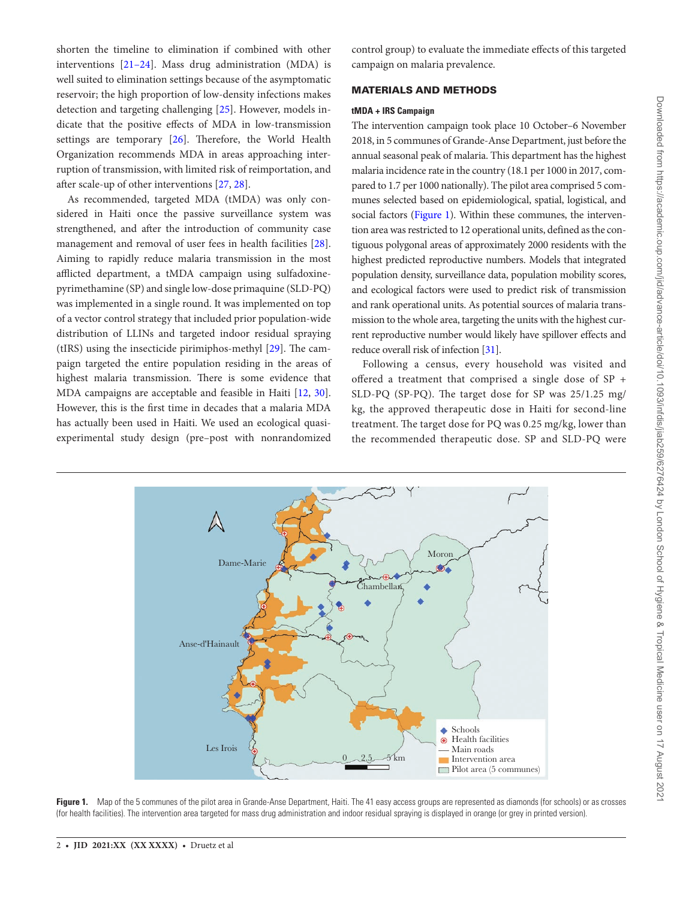shorten the timeline to elimination if combined with other interventions [[21–](#page-8-12)[24\]](#page-8-13). Mass drug administration (MDA) is well suited to elimination settings because of the asymptomatic reservoir; the high proportion of low-density infections makes detection and targeting challenging [[25\]](#page-8-14). However, models indicate that the positive effects of MDA in low-transmission settings are temporary [\[26](#page-8-15)]. Therefore, the World Health Organization recommends MDA in areas approaching interruption of transmission, with limited risk of reimportation, and after scale-up of other interventions [\[27](#page-9-0), [28\]](#page-9-1).

As recommended, targeted MDA (tMDA) was only considered in Haiti once the passive surveillance system was strengthened, and after the introduction of community case management and removal of user fees in health facilities [\[28\]](#page-9-1). Aiming to rapidly reduce malaria transmission in the most afflicted department, a tMDA campaign using sulfadoxinepyrimethamine (SP) and single low-dose primaquine (SLD-PQ) was implemented in a single round. It was implemented on top of a vector control strategy that included prior population-wide distribution of LLINs and targeted indoor residual spraying (tIRS) using the insecticide pirimiphos-methyl [\[29\]](#page-9-2). The campaign targeted the entire population residing in the areas of highest malaria transmission. There is some evidence that MDA campaigns are acceptable and feasible in Haiti [\[12](#page-8-6), [30\]](#page-9-3). However, this is the first time in decades that a malaria MDA has actually been used in Haiti. We used an ecological quasiexperimental study design (pre–post with nonrandomized

control group) to evaluate the immediate effects of this targeted campaign on malaria prevalence.

## MATERIALS AND METHODS

## **tMDA + IRS Campaign**

The intervention campaign took place 10 October–6 November 2018, in 5 communes of Grande-Anse Department, just before the annual seasonal peak of malaria. This department has the highest malaria incidence rate in the country (18.1 per 1000 in 2017, compared to 1.7 per 1000 nationally). The pilot area comprised 5 communes selected based on epidemiological, spatial, logistical, and social factors [\(Figure 1](#page-1-0)). Within these communes, the intervention area was restricted to 12 operational units, defined as the contiguous polygonal areas of approximately 2000 residents with the highest predicted reproductive numbers. Models that integrated population density, surveillance data, population mobility scores, and ecological factors were used to predict risk of transmission and rank operational units. As potential sources of malaria transmission to the whole area, targeting the units with the highest current reproductive number would likely have spillover effects and reduce overall risk of infection [\[31](#page-9-4)].

Following a census, every household was visited and offered a treatment that comprised a single dose of SP + SLD-PQ (SP-PQ). The target dose for SP was 25/1.25 mg/ kg, the approved therapeutic dose in Haiti for second-line treatment. The target dose for PQ was 0.25 mg/kg, lower than the recommended therapeutic dose. SP and SLD-PQ were



<span id="page-1-0"></span>Figure 1. Map of the 5 communes of the pilot area in Grande-Anse Department, Haiti. The 41 easy access groups are represented as diamonds (for schools) or as crosses (for health facilities). The intervention area targeted for mass drug administration and indoor residual spraying is displayed in orange (or grey in printed version).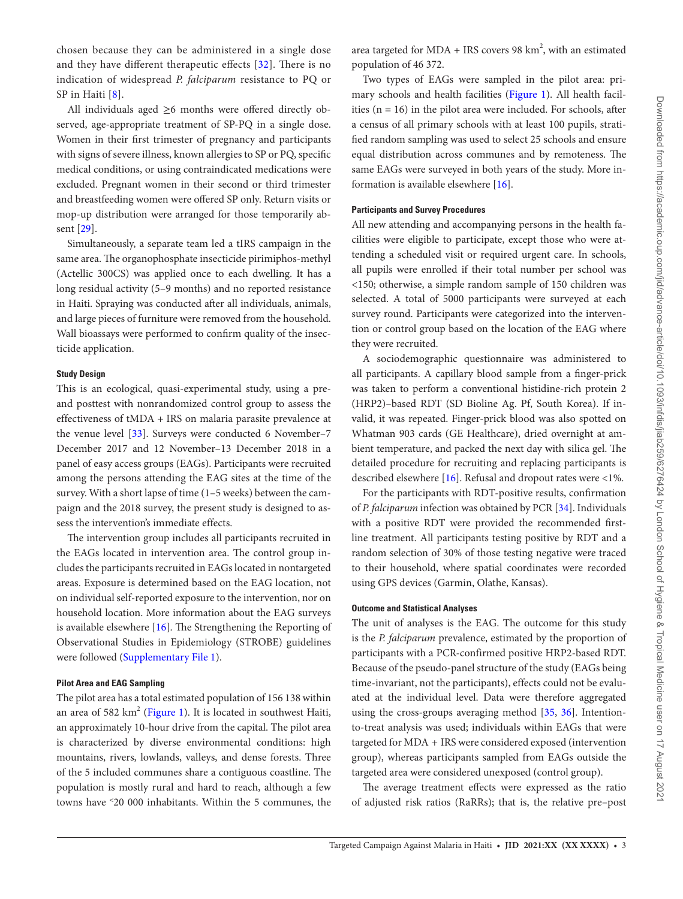chosen because they can be administered in a single dose and they have different therapeutic effects [[32](#page-9-5)]. There is no indication of widespread *P. falciparum* resistance to PQ or SP in Haiti [[8](#page-8-16)].

All individuals aged ≥6 months were offered directly observed, age-appropriate treatment of SP-PQ in a single dose. Women in their first trimester of pregnancy and participants with signs of severe illness, known allergies to SP or PQ, specific medical conditions, or using contraindicated medications were excluded. Pregnant women in their second or third trimester and breastfeeding women were offered SP only. Return visits or mop-up distribution were arranged for those temporarily absent [\[29](#page-9-2)].

Simultaneously, a separate team led a tIRS campaign in the same area. The organophosphate insecticide pirimiphos-methyl (Actellic 300CS) was applied once to each dwelling. It has a long residual activity (5–9 months) and no reported resistance in Haiti. Spraying was conducted after all individuals, animals, and large pieces of furniture were removed from the household. Wall bioassays were performed to confirm quality of the insecticide application.

# **Study Design**

This is an ecological, quasi-experimental study, using a preand posttest with nonrandomized control group to assess the effectiveness of tMDA + IRS on malaria parasite prevalence at the venue level [[33\]](#page-9-6). Surveys were conducted 6 November–7 December 2017 and 12 November–13 December 2018 in a panel of easy access groups (EAGs). Participants were recruited among the persons attending the EAG sites at the time of the survey. With a short lapse of time (1–5 weeks) between the campaign and the 2018 survey, the present study is designed to assess the intervention's immediate effects.

The intervention group includes all participants recruited in the EAGs located in intervention area. The control group includes the participants recruited in EAGs located in nontargeted areas. Exposure is determined based on the EAG location, not on individual self-reported exposure to the intervention, nor on household location. More information about the EAG surveys is available elsewhere [[16\]](#page-8-17). The Strengthening the Reporting of Observational Studies in Epidemiology (STROBE) guidelines were followed [\(Supplementary File 1\)](http://academic.oup.com/jid/article-lookup/doi/10.1093/infdis/jiab259#supplementary-data).

## **Pilot Area and EAG Sampling**

The pilot area has a total estimated population of 156 138 within an area of 582 km<sup>2</sup> [\(Figure 1\)](#page-1-0). It is located in southwest Haiti, an approximately 10-hour drive from the capital. The pilot area is characterized by diverse environmental conditions: high mountains, rivers, lowlands, valleys, and dense forests. Three of the 5 included communes share a contiguous coastline. The population is mostly rural and hard to reach, although a few towns have ˂20 000 inhabitants. Within the 5 communes, the

area targeted for MDA + IRS covers 98  $km^2$ , with an estimated population of 46 372.

Two types of EAGs were sampled in the pilot area: primary schools and health facilities ([Figure 1](#page-1-0)). All health facilities ( $n = 16$ ) in the pilot area were included. For schools, after a census of all primary schools with at least 100 pupils, stratified random sampling was used to select 25 schools and ensure equal distribution across communes and by remoteness. The same EAGs were surveyed in both years of the study. More information is available elsewhere [\[16](#page-8-17)].

# **Participants and Survey Procedures**

All new attending and accompanying persons in the health facilities were eligible to participate, except those who were attending a scheduled visit or required urgent care. In schools, all pupils were enrolled if their total number per school was <150; otherwise, a simple random sample of 150 children was selected. A total of 5000 participants were surveyed at each survey round. Participants were categorized into the intervention or control group based on the location of the EAG where they were recruited.

A sociodemographic questionnaire was administered to all participants. A capillary blood sample from a finger-prick was taken to perform a conventional histidine-rich protein 2 (HRP2)–based RDT (SD Bioline Ag. Pf, South Korea). If invalid, it was repeated. Finger-prick blood was also spotted on Whatman 903 cards (GE Healthcare), dried overnight at ambient temperature, and packed the next day with silica gel. The detailed procedure for recruiting and replacing participants is described elsewhere [\[16\]](#page-8-17). Refusal and dropout rates were <1%.

For the participants with RDT-positive results, confirmation of *P. falciparum* infection was obtained by PCR [[34\]](#page-9-7). Individuals with a positive RDT were provided the recommended firstline treatment. All participants testing positive by RDT and a random selection of 30% of those testing negative were traced to their household, where spatial coordinates were recorded using GPS devices (Garmin, Olathe, Kansas).

#### **Outcome and Statistical Analyses**

The unit of analyses is the EAG. The outcome for this study is the *P. falciparum* prevalence, estimated by the proportion of participants with a PCR-confirmed positive HRP2-based RDT. Because of the pseudo-panel structure of the study (EAGs being time-invariant, not the participants), effects could not be evaluated at the individual level. Data were therefore aggregated using the cross-groups averaging method [[35,](#page-9-8) [36](#page-9-9)]. Intentionto-treat analysis was used; individuals within EAGs that were targeted for MDA + IRS were considered exposed (intervention group), whereas participants sampled from EAGs outside the targeted area were considered unexposed (control group).

The average treatment effects were expressed as the ratio of adjusted risk ratios (RaRRs); that is, the relative pre–post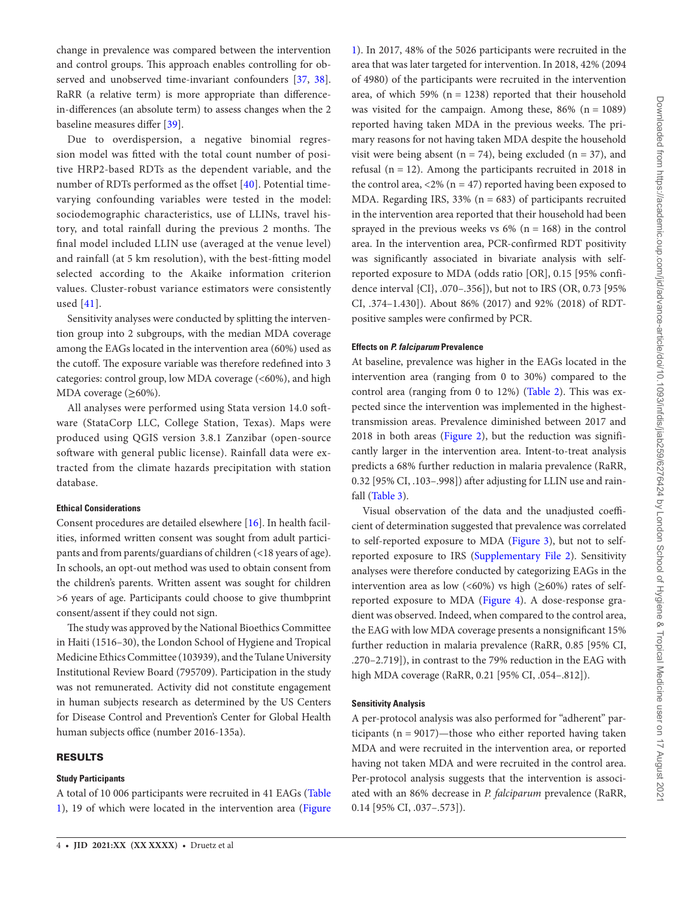change in prevalence was compared between the intervention and control groups. This approach enables controlling for ob-served and unobserved time-invariant confounders [\[37](#page-9-10), [38\]](#page-9-11). RaRR (a relative term) is more appropriate than differencein-differences (an absolute term) to assess changes when the 2 baseline measures differ [\[39](#page-9-12)].

Due to overdispersion, a negative binomial regression model was fitted with the total count number of positive HRP2-based RDTs as the dependent variable, and the number of RDTs performed as the offset [[40](#page-9-13)]. Potential timevarying confounding variables were tested in the model: sociodemographic characteristics, use of LLINs, travel history, and total rainfall during the previous 2 months. The final model included LLIN use (averaged at the venue level) and rainfall (at 5 km resolution), with the best-fitting model selected according to the Akaike information criterion values. Cluster-robust variance estimators were consistently used [\[41\]](#page-9-14).

Sensitivity analyses were conducted by splitting the intervention group into 2 subgroups, with the median MDA coverage among the EAGs located in the intervention area (60%) used as the cutoff. The exposure variable was therefore redefined into 3 categories: control group, low MDA coverage (<60%), and high MDA coverage  $(\geq 60\%)$ .

All analyses were performed using Stata version 14.0 software (StataCorp LLC, College Station, Texas). Maps were produced using QGIS version 3.8.1 Zanzibar (open-source software with general public license). Rainfall data were extracted from the climate hazards precipitation with station database.

# **Ethical Considerations**

Consent procedures are detailed elsewhere [[16\]](#page-8-17). In health facilities, informed written consent was sought from adult participants and from parents/guardians of children (<18 years of age). In schools, an opt-out method was used to obtain consent from the children's parents. Written assent was sought for children >6 years of age. Participants could choose to give thumbprint consent/assent if they could not sign.

The study was approved by the National Bioethics Committee in Haiti (1516–30), the London School of Hygiene and Tropical Medicine Ethics Committee (103939), and the Tulane University Institutional Review Board (795709). Participation in the study was not remunerated. Activity did not constitute engagement in human subjects research as determined by the US Centers for Disease Control and Prevention's Center for Global Health human subjects office (number 2016-135a).

## RESULTS

#### **Study Participants**

A total of 10 006 participants were recruited in 41 EAGs ([Table](#page-4-0)  [1\)](#page-4-0), 19 of which were located in the intervention area ([Figure](#page-1-0)

[1\)](#page-1-0). In 2017, 48% of the 5026 participants were recruited in the area that was later targeted for intervention. In 2018, 42% (2094 of 4980) of the participants were recruited in the intervention area, of which 59% ( $n = 1238$ ) reported that their household was visited for the campaign. Among these,  $86\%$  (n = 1089) reported having taken MDA in the previous weeks. The primary reasons for not having taken MDA despite the household visit were being absent ( $n = 74$ ), being excluded ( $n = 37$ ), and refusal ( $n = 12$ ). Among the participants recruited in 2018 in the control area,  $\langle 2\% (n = 47) \rangle$  reported having been exposed to MDA. Regarding IRS,  $33\%$  (n = 683) of participants recruited in the intervention area reported that their household had been sprayed in the previous weeks vs  $6\%$  (n = 168) in the control area. In the intervention area, PCR-confirmed RDT positivity was significantly associated in bivariate analysis with selfreported exposure to MDA (odds ratio [OR], 0.15 [95% confidence interval {CI}, .070–.356]), but not to IRS (OR, 0.73 [95% CI, .374–1.430]). About 86% (2017) and 92% (2018) of RDTpositive samples were confirmed by PCR.

#### **Effects on** *P. falciparum* **Prevalence**

At baseline, prevalence was higher in the EAGs located in the intervention area (ranging from 0 to 30%) compared to the control area (ranging from 0 to 12%) ([Table 2\)](#page-4-1). This was expected since the intervention was implemented in the highesttransmission areas. Prevalence diminished between 2017 and 2018 in both areas [\(Figure 2\)](#page-5-0), but the reduction was significantly larger in the intervention area. Intent-to-treat analysis predicts a 68% further reduction in malaria prevalence (RaRR, 0.32 [95% CI, .103–.998]) after adjusting for LLIN use and rainfall [\(Table 3](#page-6-0)).

Visual observation of the data and the unadjusted coefficient of determination suggested that prevalence was correlated to self-reported exposure to MDA [\(Figure 3\)](#page-6-1), but not to selfreported exposure to IRS ([Supplementary File 2](http://academic.oup.com/jid/article-lookup/doi/10.1093/infdis/jiab259#supplementary-data)). Sensitivity analyses were therefore conducted by categorizing EAGs in the intervention area as low (<60%) vs high ( $\geq$ 60%) rates of selfreported exposure to MDA ([Figure 4](#page-7-0)). A dose-response gradient was observed. Indeed, when compared to the control area, the EAG with low MDA coverage presents a nonsignificant 15% further reduction in malaria prevalence (RaRR, 0.85 [95% CI, .270–2.719]), in contrast to the 79% reduction in the EAG with high MDA coverage (RaRR, 0.21 [95% CI, .054–.812]).

#### **Sensitivity Analysis**

A per-protocol analysis was also performed for "adherent" participants ( $n = 9017$ )—those who either reported having taken MDA and were recruited in the intervention area, or reported having not taken MDA and were recruited in the control area. Per-protocol analysis suggests that the intervention is associated with an 86% decrease in *P. falciparum* prevalence (RaRR, 0.14 [95% CI, .037–.573]).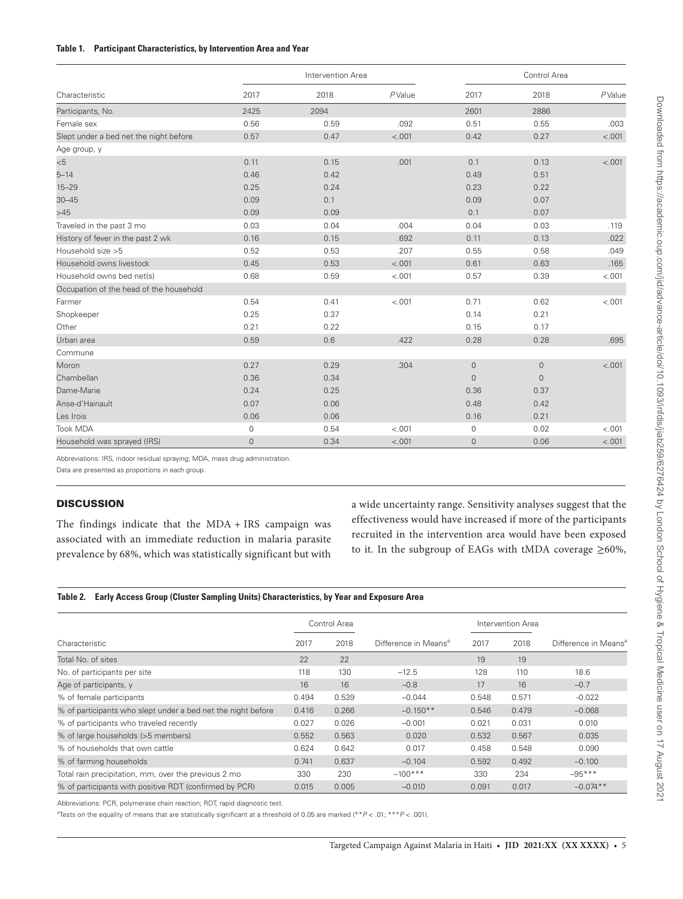## <span id="page-4-0"></span>**Table 1. Participant Characteristics, by Intervention Area and Year**

| Characteristic                          |             | Intervention Area |         | Control Area |                     |         |
|-----------------------------------------|-------------|-------------------|---------|--------------|---------------------|---------|
|                                         | 2017        | 2018              | PValue  | 2017         | 2018                | PValue  |
| Participants, No.                       | 2425        | 2094              |         | 2601         | 2886                |         |
| Female sex                              | 0.56        | 0.59              | .092    | 0.51         | 0.55                | .003    |
| Slept under a bed net the night before  | 0.57        | 0.47              | $-.001$ | 0.42         | 0.27                | < .001  |
| Age group, y                            |             |                   |         |              |                     |         |
| < 5                                     | 0.11        | 0.15              | .001    | 0.1          | 0.13                | < .001  |
| $5 - 14$                                | 0.46        | 0.42              |         | 0.49         | 0.51                |         |
| $15 - 29$                               | 0.25        | 0.24              |         | 0.23         | 0.22                |         |
| $30 - 45$                               | 0.09        | 0.1               |         | 0.09         | 0.07                |         |
| >45                                     | 0.09        | 0.09              |         | 0.1          | 0.07                |         |
| Traveled in the past 3 mo               | 0.03        | 0.04              | .004    | 0.04         | 0.03                | .119    |
| History of fever in the past 2 wk       | 0.16        | 0.15              | .692    | 0.11         | 0.13                | .022    |
| Household size >5                       | 0.52        | 0.53              | .207    | 0.55         | 0.58                | .049    |
| Household owns livestock                | 0.45        | 0.53              | < .001  | 0.61         | 0.63                | .165    |
| Household owns bed net(s)               | 0.68        | 0.59              | < .001  | 0.57         | 0.39                | < .001  |
| Occupation of the head of the household |             |                   |         |              |                     |         |
| Farmer                                  | 0.54        | 0.41              | < .001  | 0.71         | 0.62                | < .001  |
| Shopkeeper                              | 0.25        | 0.37              |         | 0.14         | 0.21                |         |
| Other                                   | 0.21        | 0.22              |         | 0.15         | 0.17                |         |
| Urban area                              | 0.59        | 0.6               | .422    | 0.28         | 0.28                | .695    |
| Commune                                 |             |                   |         |              |                     |         |
| Moron                                   | 0.27        | 0.29              | .304    | $\mathbf 0$  | $\mathsf{O}\xspace$ | < .001  |
| Chambellan                              | 0.36        | 0.34              |         | $\mathbf{0}$ | $\Omega$            |         |
| Dame-Marie                              | 0.24        | 0.25              |         | 0.36         | 0.37                |         |
| Anse-d'Hainault                         | 0.07        | 0.06              |         | 0.48         | 0.42                |         |
| Les Irois                               | 0.06        | 0.06              |         | 0.16         | 0.21                |         |
| <b>Took MDA</b>                         | $\mathbf 0$ | 0.54              | $-.001$ | $\mathbf 0$  | 0.02                | $-.001$ |
| Household was sprayed (IRS)             | $\mathbf 0$ | 0.34              | < .001  | 0            | 0.06                | < .001  |

Abbreviations: IRS, indoor residual spraying; MDA, mass drug administration.

Data are presented as proportions in each group.

# **DISCUSSION**

The findings indicate that the MDA + IRS campaign was associated with an immediate reduction in malaria parasite prevalence by 68%, which was statistically significant but with

a wide uncertainty range. Sensitivity analyses suggest that the effectiveness would have increased if more of the participants recruited in the intervention area would have been exposed to it. In the subgroup of EAGs with tMDA coverage  $\geq 60\%$ ,

## <span id="page-4-1"></span>**Table 2. Early Access Group (Cluster Sampling Units) Characteristics, by Year and Exposure Area**

|                                                              | Control Area |       |                                  | Intervention Area |       | Difference in Means <sup>®</sup> |
|--------------------------------------------------------------|--------------|-------|----------------------------------|-------------------|-------|----------------------------------|
| Characteristic                                               | 2017<br>2018 |       | Difference in Means <sup>a</sup> | 2018<br>2017      |       |                                  |
| Total No. of sites                                           | 22           | 22    |                                  | 19                | 19    |                                  |
| No. of participants per site                                 | 118          | 130   | $-12.5$                          | 128               | 110   | 18.6                             |
| Age of participants, y                                       | 16           | 16    | $-0.8$                           | 17                | 16    | $-0.7$                           |
| % of female participants                                     | 0.494        | 0.539 | $-0.044$                         | 0.548             | 0.571 | $-0.022$                         |
| % of participants who slept under a bed net the night before | 0.416        | 0.266 | $-0.150**$                       | 0.546             | 0.479 | $-0.068$                         |
| % of participants who traveled recently                      | 0.027        | 0.026 | $-0.001$                         | 0.021             | 0.031 | 0.010                            |
| % of large households (>5 members)                           | 0.552        | 0.563 | 0.020                            | 0.532             | 0.567 | 0.035                            |
| % of households that own cattle                              | 0.624        | 0.642 | 0.017                            | 0.458             | 0.548 | 0.090                            |
| % of farming households                                      | 0.741        | 0.637 | $-0.104$                         | 0.592             | 0.492 | $-0.100$                         |
| Total rain precipitation, mm, over the previous 2 mo         | 330          | 230   | $-100***$                        | 330               | 234   | $-95***$                         |
| % of participants with positive RDT (confirmed by PCR)       | 0.015        | 0.005 | $-0.010$                         | 0.091             | 0.017 | $-0.074**$                       |

Abbreviations: PCR, polymerase chain reaction; RDT, rapid diagnostic test.

a Tests on the equality of means that are statistically significant at a threshold of 0.05 are marked (\*\**P* < .01; \*\*\**P* < .001).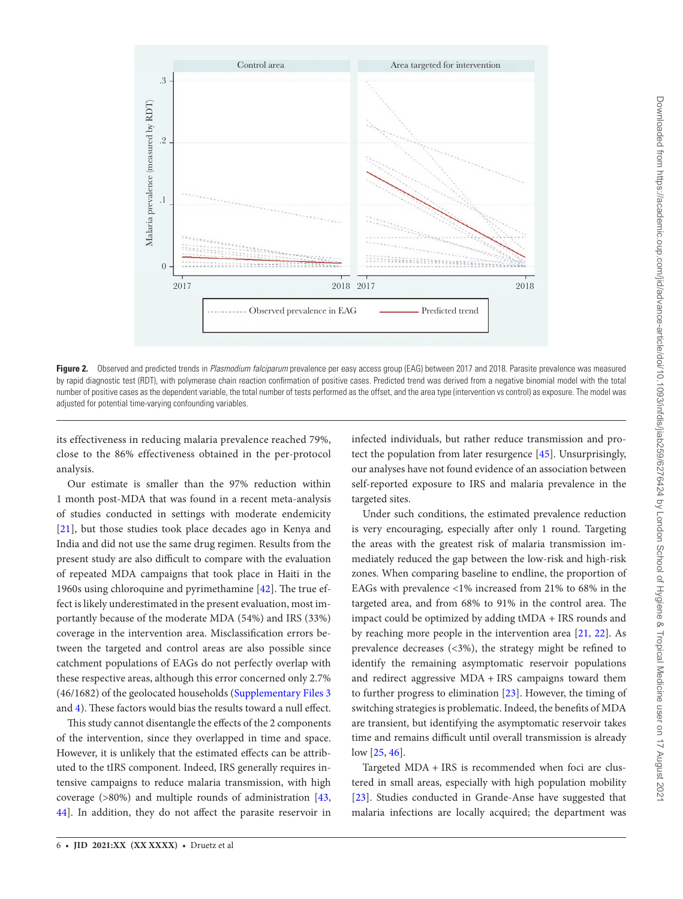

<span id="page-5-0"></span>**Figure 2.** Observed and predicted trends in *Plasmodium falciparum* prevalence per easy access group (EAG) between 2017 and 2018. Parasite prevalence was measured by rapid diagnostic test (RDT), with polymerase chain reaction confirmation of positive cases. Predicted trend was derived from a negative binomial model with the total number of positive cases as the dependent variable, the total number of tests performed as the offset, and the area type (intervention vs control) as exposure. The model was adjusted for potential time-varying confounding variables.

its effectiveness in reducing malaria prevalence reached 79%, close to the 86% effectiveness obtained in the per-protocol analysis.

Our estimate is smaller than the 97% reduction within 1 month post-MDA that was found in a recent meta-analysis of studies conducted in settings with moderate endemicity [\[21\]](#page-8-12), but those studies took place decades ago in Kenya and India and did not use the same drug regimen. Results from the present study are also difficult to compare with the evaluation of repeated MDA campaigns that took place in Haiti in the 1960s using chloroquine and pyrimethamine [\[42](#page-9-15)]. The true effect is likely underestimated in the present evaluation, most importantly because of the moderate MDA (54%) and IRS (33%) coverage in the intervention area. Misclassification errors between the targeted and control areas are also possible since catchment populations of EAGs do not perfectly overlap with these respective areas, although this error concerned only 2.7% (46/1682) of the geolocated households ([Supplementary Files 3](http://academic.oup.com/jid/article-lookup/doi/10.1093/infdis/jiab259#supplementary-data) and [4](http://academic.oup.com/jid/article-lookup/doi/10.1093/infdis/jiab259#supplementary-data)). These factors would bias the results toward a null effect.

This study cannot disentangle the effects of the 2 components of the intervention, since they overlapped in time and space. However, it is unlikely that the estimated effects can be attributed to the tIRS component. Indeed, IRS generally requires intensive campaigns to reduce malaria transmission, with high coverage (>80%) and multiple rounds of administration [[43,](#page-9-16) [44](#page-9-17)]. In addition, they do not affect the parasite reservoir in

infected individuals, but rather reduce transmission and protect the population from later resurgence [\[45](#page-9-18)]. Unsurprisingly, our analyses have not found evidence of an association between self-reported exposure to IRS and malaria prevalence in the targeted sites.

Under such conditions, the estimated prevalence reduction is very encouraging, especially after only 1 round. Targeting the areas with the greatest risk of malaria transmission immediately reduced the gap between the low-risk and high-risk zones. When comparing baseline to endline, the proportion of EAGs with prevalence <1% increased from 21% to 68% in the targeted area, and from 68% to 91% in the control area. The impact could be optimized by adding tMDA + IRS rounds and by reaching more people in the intervention area [\[21](#page-8-12), [22\]](#page-8-18). As prevalence decreases (<3%), the strategy might be refined to identify the remaining asymptomatic reservoir populations and redirect aggressive MDA + IRS campaigns toward them to further progress to elimination [[23\]](#page-8-19). However, the timing of switching strategies is problematic. Indeed, the benefits of MDA are transient, but identifying the asymptomatic reservoir takes time and remains difficult until overall transmission is already low [\[25](#page-8-14), [46\]](#page-9-19).

Targeted MDA + IRS is recommended when foci are clustered in small areas, especially with high population mobility [\[23](#page-8-19)]. Studies conducted in Grande-Anse have suggested that malaria infections are locally acquired; the department was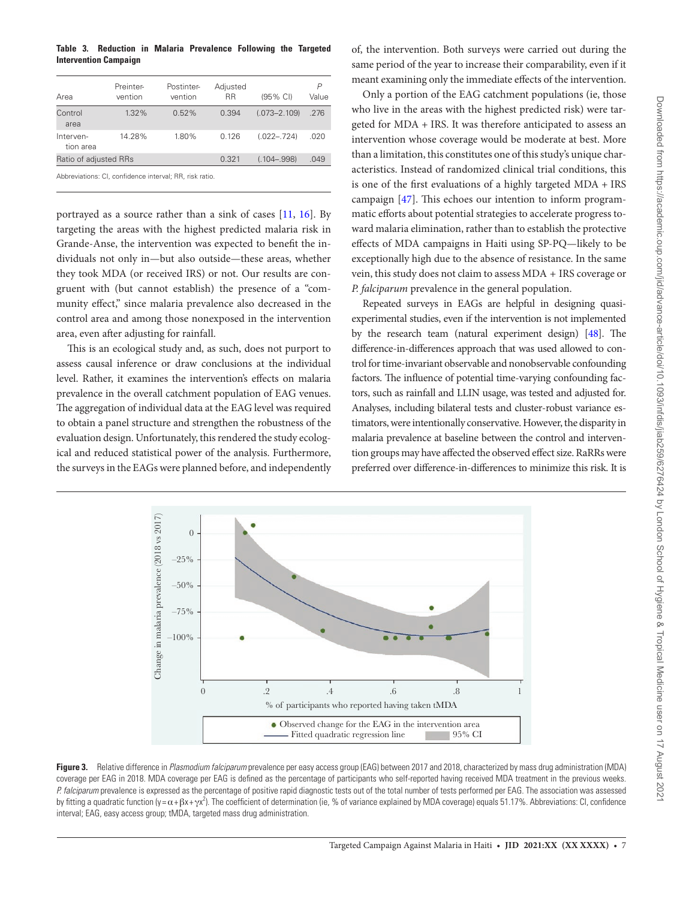## <span id="page-6-0"></span>**Table 3. Reduction in Malaria Prevalence Following the Targeted Intervention Campaign**

| Area                   | Preinter-<br>vention | Postinter-<br>vention | Adjusted<br>RR | (95% CI)         | P<br>Value |
|------------------------|----------------------|-----------------------|----------------|------------------|------------|
| Control<br>area        | $1.32\%$             | $0.52\%$              | 0.394          | $(.073 - 2.109)$ | .276       |
| Interven-<br>tion area | 14.28%               | 1.80%                 | 0.126          | $(.022-.724)$    | .020       |
| Ratio of adjusted RRs  |                      |                       | 0.321          | $(.104 - .998)$  | .049       |

Abbreviations: CI, confidence interval; RR, risk ratio.

portrayed as a source rather than a sink of cases [[11,](#page-8-5) [16](#page-8-17)]. By targeting the areas with the highest predicted malaria risk in Grande-Anse, the intervention was expected to benefit the individuals not only in—but also outside—these areas, whether they took MDA (or received IRS) or not. Our results are congruent with (but cannot establish) the presence of a "community effect," since malaria prevalence also decreased in the control area and among those nonexposed in the intervention area, even after adjusting for rainfall.

This is an ecological study and, as such, does not purport to assess causal inference or draw conclusions at the individual level. Rather, it examines the intervention's effects on malaria prevalence in the overall catchment population of EAG venues. The aggregation of individual data at the EAG level was required to obtain a panel structure and strengthen the robustness of the evaluation design. Unfortunately, this rendered the study ecological and reduced statistical power of the analysis. Furthermore, the surveys in the EAGs were planned before, and independently of, the intervention. Both surveys were carried out during the same period of the year to increase their comparability, even if it meant examining only the immediate effects of the intervention.

Only a portion of the EAG catchment populations (ie, those who live in the areas with the highest predicted risk) were targeted for MDA + IRS. It was therefore anticipated to assess an intervention whose coverage would be moderate at best. More than a limitation, this constitutes one of this study's unique characteristics. Instead of randomized clinical trial conditions, this is one of the first evaluations of a highly targeted MDA + IRS campaign [\[47](#page-9-20)]. This echoes our intention to inform programmatic efforts about potential strategies to accelerate progress toward malaria elimination, rather than to establish the protective effects of MDA campaigns in Haiti using SP-PQ—likely to be exceptionally high due to the absence of resistance. In the same vein, this study does not claim to assess MDA + IRS coverage or *P. falciparum* prevalence in the general population.

Repeated surveys in EAGs are helpful in designing quasiexperimental studies, even if the intervention is not implemented by the research team (natural experiment design) [[48\]](#page-9-21). The difference-in-differences approach that was used allowed to control for time-invariant observable and nonobservable confounding factors. The influence of potential time-varying confounding factors, such as rainfall and LLIN usage, was tested and adjusted for. Analyses, including bilateral tests and cluster-robust variance estimators, were intentionally conservative. However, the disparity in malaria prevalence at baseline between the control and intervention groups may have affected the observed effect size. RaRRs were preferred over difference-in-differences to minimize this risk. It is



<span id="page-6-1"></span>**Figure 3.** Relative difference in *Plasmodium falciparum* prevalence per easy access group (EAG) between 2017 and 2018, characterized by mass drug administration (MDA) coverage per EAG in 2018. MDA coverage per EAG is defined as the percentage of participants who self-reported having received MDA treatment in the previous weeks. P. falciparum prevalence is expressed as the percentage of positive rapid diagnostic tests out of the total number of tests performed per EAG. The association was assessed by fitting a quadratic function (y =  $\alpha$  +  $\beta x + \gamma x^2$ ). The coefficient of determination (ie, % of variance explained by MDA coverage) equals 51.17%. Abbreviations: CI, confidence interval; EAG, easy access group; tMDA, targeted mass drug administration.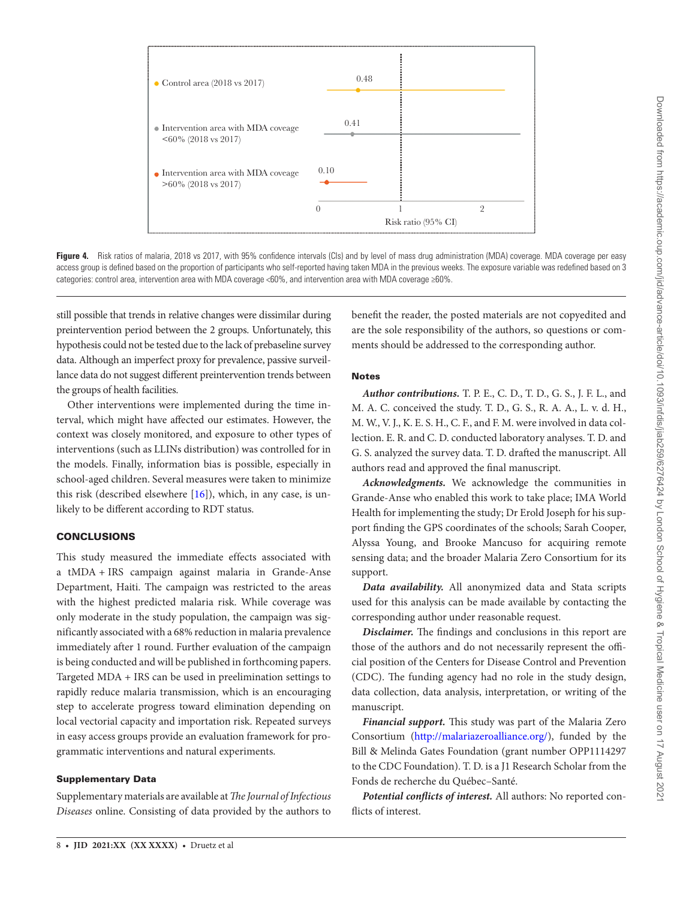

Figure 4. Risk ratios of malaria, 2018 vs 2017, with 95% confidence intervals (Cls) and by level of mass drug administration (MDA) coverage. MDA coverage per easy access group is defined based on the proportion of participants who self-reported having taken MDA in the previous weeks. The exposure variable was redefined based on 3 categories: control area, intervention area with MDA coverage <60%, and intervention area with MDA coverage ≥60%.

still possible that trends in relative changes were dissimilar during preintervention period between the 2 groups. Unfortunately, this hypothesis could not be tested due to the lack of prebaseline survey data. Although an imperfect proxy for prevalence, passive surveillance data do not suggest different preintervention trends between the groups of health facilities.

Other interventions were implemented during the time interval, which might have affected our estimates. However, the context was closely monitored, and exposure to other types of interventions (such as LLINs distribution) was controlled for in the models. Finally, information bias is possible, especially in school-aged children. Several measures were taken to minimize this risk (described elsewhere  $[16]$  $[16]$ ), which, in any case, is unlikely to be different according to RDT status.

# **CONCLUSIONS**

This study measured the immediate effects associated with a tMDA + IRS campaign against malaria in Grande-Anse Department, Haiti. The campaign was restricted to the areas with the highest predicted malaria risk. While coverage was only moderate in the study population, the campaign was significantly associated with a 68% reduction in malaria prevalence immediately after 1 round. Further evaluation of the campaign is being conducted and will be published in forthcoming papers. Targeted MDA + IRS can be used in preelimination settings to rapidly reduce malaria transmission, which is an encouraging step to accelerate progress toward elimination depending on local vectorial capacity and importation risk. Repeated surveys in easy access groups provide an evaluation framework for programmatic interventions and natural experiments.

## Supplementary Data

Supplementary materials are available at *The Journal of Infectious Diseases* online. Consisting of data provided by the authors to

<span id="page-7-0"></span>benefit the reader, the posted materials are not copyedited and are the sole responsibility of the authors, so questions or comments should be addressed to the corresponding author.

# **Notes**

*Author contributions.* T. P. E., C. D., T. D., G. S., J. F. L., and M. A. C. conceived the study. T. D., G. S., R. A. A., L. v. d. H., M. W., V. J., K. E. S. H., C. F., and F. M. were involved in data collection. E. R. and C. D. conducted laboratory analyses. T. D. and G. S. analyzed the survey data. T. D. drafted the manuscript. All authors read and approved the final manuscript.

*Acknowledgments.* We acknowledge the communities in Grande-Anse who enabled this work to take place; IMA World Health for implementing the study; Dr Erold Joseph for his support finding the GPS coordinates of the schools; Sarah Cooper, Alyssa Young, and Brooke Mancuso for acquiring remote sensing data; and the broader Malaria Zero Consortium for its support.

*Data availability.* All anonymized data and Stata scripts used for this analysis can be made available by contacting the corresponding author under reasonable request.

*Disclaimer.* The findings and conclusions in this report are those of the authors and do not necessarily represent the official position of the Centers for Disease Control and Prevention (CDC). The funding agency had no role in the study design, data collection, data analysis, interpretation, or writing of the manuscript.

*Financial support.* This study was part of the Malaria Zero Consortium (<http://malariazeroalliance.org/>), funded by the Bill & Melinda Gates Foundation (grant number OPP1114297 to the CDC Foundation). T. D. is a J1 Research Scholar from the Fonds de recherche du Québec–Santé.

*Potential conflicts of interest.* All authors: No reported conflicts of interest.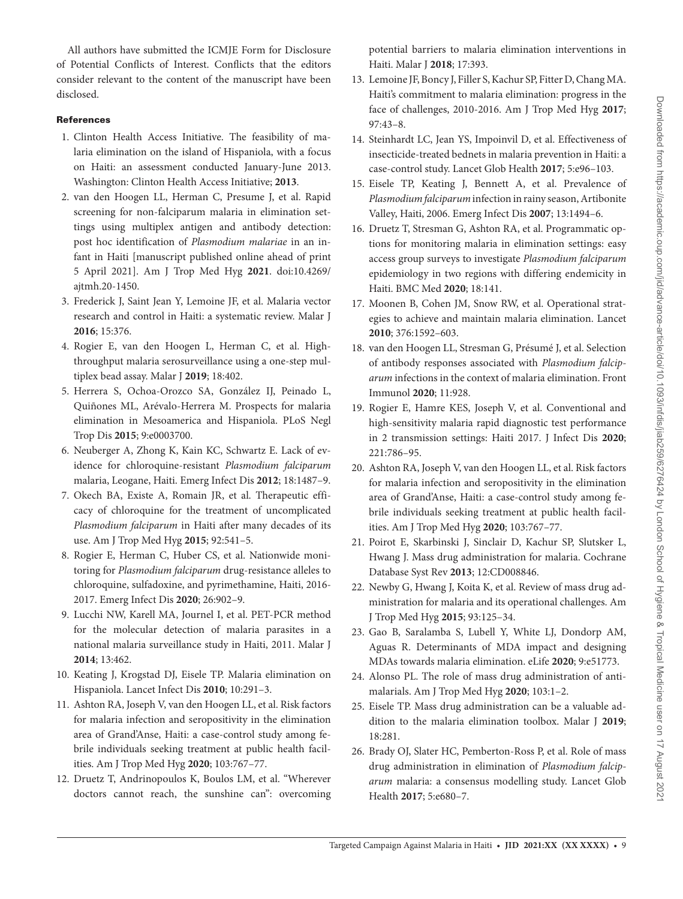All authors have submitted the ICMJE Form for Disclosure of Potential Conflicts of Interest. Conflicts that the editors consider relevant to the content of the manuscript have been disclosed.

# References

- <span id="page-8-0"></span>1. Clinton Health Access Initiative. The feasibility of malaria elimination on the island of Hispaniola, with a focus on Haiti: an assessment conducted January-June 2013. Washington: Clinton Health Access Initiative; **2013**.
- <span id="page-8-1"></span>2. van den Hoogen LL, Herman C, Presume J, et al. Rapid screening for non-falciparum malaria in elimination settings using multiplex antigen and antibody detection: post hoc identification of *Plasmodium malariae* in an infant in Haiti [manuscript published online ahead of print 5 April 2021]. Am J Trop Med Hyg **2021**. doi:10.4269/ ajtmh.20-1450.
- <span id="page-8-2"></span>3. Frederick J, Saint Jean Y, Lemoine JF, et al. Malaria vector research and control in Haiti: a systematic review. Malar J **2016**; 15:376.
- 4. Rogier E, van den Hoogen L, Herman C, et al. Highthroughput malaria serosurveillance using a one-step multiplex bead assay. Malar J **2019**; 18:402.
- <span id="page-8-3"></span>5. Herrera S, Ochoa-Orozco SA, González IJ, Peinado L, Quiñones ML, Arévalo-Herrera M. Prospects for malaria elimination in Mesoamerica and Hispaniola. PLoS Negl Trop Dis **2015**; 9:e0003700.
- <span id="page-8-4"></span>6. Neuberger A, Zhong K, Kain KC, Schwartz E. Lack of evidence for chloroquine-resistant *Plasmodium falciparum* malaria, Leogane, Haiti. Emerg Infect Dis **2012**; 18:1487–9.
- 7. Okech BA, Existe A, Romain JR, et al. Therapeutic efficacy of chloroquine for the treatment of uncomplicated *Plasmodium falciparum* in Haiti after many decades of its use. Am J Trop Med Hyg **2015**; 92:541–5.
- <span id="page-8-16"></span>8. Rogier E, Herman C, Huber CS, et al. Nationwide monitoring for *Plasmodium falciparum* drug-resistance alleles to chloroquine, sulfadoxine, and pyrimethamine, Haiti, 2016- 2017. Emerg Infect Dis **2020**; 26:902–9.
- 9. Lucchi NW, Karell MA, Journel I, et al. PET-PCR method for the molecular detection of malaria parasites in a national malaria surveillance study in Haiti, 2011. Malar J **2014**; 13:462.
- 10. Keating J, Krogstad DJ, Eisele TP. Malaria elimination on Hispaniola. Lancet Infect Dis **2010**; 10:291–3.
- <span id="page-8-5"></span>11. Ashton RA, Joseph V, van den Hoogen LL, et al. Risk factors for malaria infection and seropositivity in the elimination area of Grand'Anse, Haiti: a case-control study among febrile individuals seeking treatment at public health facilities. Am J Trop Med Hyg **2020**; 103:767–77.
- <span id="page-8-6"></span>12. Druetz T, Andrinopoulos K, Boulos LM, et al. "Wherever doctors cannot reach, the sunshine can": overcoming

potential barriers to malaria elimination interventions in Haiti. Malar J **2018**; 17:393.

- 13. Lemoine JF, Boncy J, Filler S, Kachur SP, Fitter D, Chang MA. Haiti's commitment to malaria elimination: progress in the face of challenges, 2010-2016. Am J Trop Med Hyg **2017**; 97:43–8.
- <span id="page-8-7"></span>14. Steinhardt LC, Jean YS, Impoinvil D, et al. Effectiveness of insecticide-treated bednets in malaria prevention in Haiti: a case-control study. Lancet Glob Health **2017**; 5:e96–103.
- <span id="page-8-8"></span>15. Eisele TP, Keating J, Bennett A, et al. Prevalence of *Plasmodium falciparum* infection in rainy season, Artibonite Valley, Haiti, 2006. Emerg Infect Dis **2007**; 13:1494–6.
- <span id="page-8-17"></span>16. Druetz T, Stresman G, Ashton RA, et al. Programmatic options for monitoring malaria in elimination settings: easy access group surveys to investigate *Plasmodium falciparum* epidemiology in two regions with differing endemicity in Haiti. BMC Med **2020**; 18:141.
- <span id="page-8-9"></span>17. Moonen B, Cohen JM, Snow RW, et al. Operational strategies to achieve and maintain malaria elimination. Lancet **2010**; 376:1592–603.
- <span id="page-8-10"></span>18. van den Hoogen LL, Stresman G, Présumé J, et al. Selection of antibody responses associated with *Plasmodium falciparum* infections in the context of malaria elimination. Front Immunol **2020**; 11:928.
- 19. Rogier E, Hamre KES, Joseph V, et al. Conventional and high-sensitivity malaria rapid diagnostic test performance in 2 transmission settings: Haiti 2017. J Infect Dis **2020**; 221:786–95.
- <span id="page-8-11"></span>20. Ashton RA, Joseph V, van den Hoogen LL, et al. Risk factors for malaria infection and seropositivity in the elimination area of Grand'Anse, Haiti: a case-control study among febrile individuals seeking treatment at public health facilities. Am J Trop Med Hyg **2020**; 103:767–77.
- <span id="page-8-12"></span>21. Poirot E, Skarbinski J, Sinclair D, Kachur SP, Slutsker L, Hwang J. Mass drug administration for malaria. Cochrane Database Syst Rev **2013**; 12:CD008846.
- <span id="page-8-18"></span>22. Newby G, Hwang J, Koita K, et al. Review of mass drug administration for malaria and its operational challenges. Am J Trop Med Hyg **2015**; 93:125–34.
- <span id="page-8-19"></span>23. Gao B, Saralamba S, Lubell Y, White LJ, Dondorp AM, Aguas R. Determinants of MDA impact and designing MDAs towards malaria elimination. eLife **2020**; 9:e51773.
- <span id="page-8-13"></span>24. Alonso PL. The role of mass drug administration of antimalarials. Am J Trop Med Hyg **2020**; 103:1–2.
- <span id="page-8-14"></span>25. Eisele TP. Mass drug administration can be a valuable addition to the malaria elimination toolbox. Malar J **2019**; 18:281.
- <span id="page-8-15"></span>26. Brady OJ, Slater HC, Pemberton-Ross P, et al. Role of mass drug administration in elimination of *Plasmodium falciparum* malaria: a consensus modelling study. Lancet Glob Health **2017**; 5:e680–7.